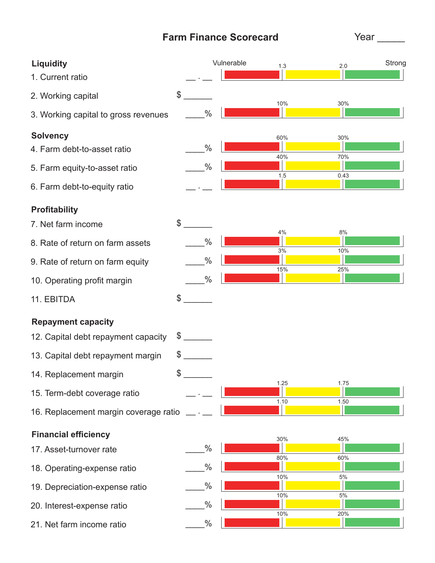# **Farm Finance Scorecard**

Year \_\_\_\_\_

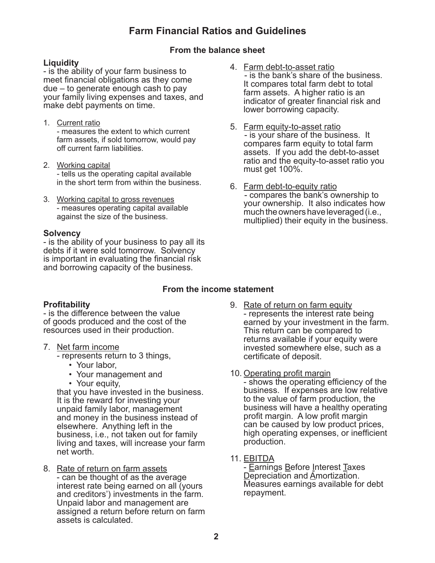# **Farm Financial Ratios and Guidelines**

### **From the balance sheet**

#### **Liquidity**

- is the ability of your farm business to meet financial obligations as they come due – to generate enough cash to pay your family living expenses and taxes, and make debt payments on time.

- 1. Current ratio - measures the extent to which current farm assets, if sold tomorrow, would pay off current farm liabilities.
- 2. Working capital - tells us the operating capital available in the short term from within the business.
- 3. Working capital to gross revenues - measures operating capital available against the size of the business.

#### **Solvency**

- is the ability of your business to pay all its debts if it were sold tomorrow. Solvency is important in evaluating the financial risk and borrowing capacity of the business.

- 4. Farm debt-to-asset ratio - is the bank's share of the business. It compares total farm debt to total farm assets. A higher ratio is an indicator of greater financial risk and lower borrowing capacity.
- 5. Farm equity-to-asset ratio - is your share of the business. It compares farm equity to total farm assets. If you add the debt-to-asset ratio and the equity-to-asset ratio you must get 100%.
- 6. Farm debt-to-equity ratio - compares the bank's ownership to your ownership. It also indicates how much the owners have leveraged (i.e., multiplied) their equity in the business.

# **From the income statement**

#### **Profitability**

- is the difference between the value of goods produced and the cost of the resources used in their production.

- 7. Net farm income
	- represents return to 3 things,
		- Your labor,
		- Your management and
		- Your equity,

that you have invested in the business. It is the reward for investing your unpaid family labor, management and money in the business instead of elsewhere. Anything left in the business, i.e., not taken out for family living and taxes, will increase your farm net worth.

8. Rate of return on farm assets - can be thought of as the average interest rate being earned on all (yours and creditors') investments in the farm. Unpaid labor and management are assigned a return before return on farm assets is calculated.

- 9. Rate of return on farm equity - represents the interest rate being earned by your investment in the farm. This return can be compared to returns available if your equity were invested somewhere else, such as a certificate of deposit.
- 10. Operating profit margin

- shows the operating efficiency of the business. If expenses are low relative to the value of farm production, the business will have a healthy operating profit margin. A low profit margin can be caused by low product prices, high operating expenses, or inefficient production.

11. EBITDA

- Earnings Before Interest Taxes Depreciation and Amortization. Measures earnings available for debt repayment.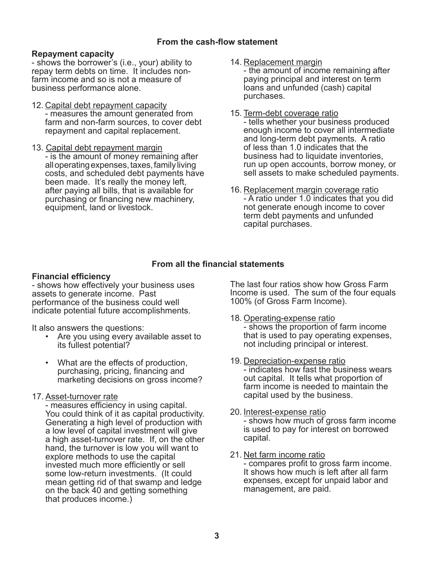#### **Repayment capacity**

- shows the borrower's (i.e., your) ability to repay term debts on time. It includes nonfarm income and so is not a measure of business performance alone.

- 12. Capital debt repayment capacity - measures the amount generated from farm and non-farm sources, to cover debt repayment and capital replacement.
- 13. Capital debt repayment margin - is the amount of money remaining after all operating expenses, taxes, family living costs, and scheduled debt payments have been made. It's really the money left, after paying all bills, that is available for purchasing or financing new machinery, equipment, land or livestock.

14. Replacement margin

- the amount of income remaining after paying principal and interest on term loans and unfunded (cash) capital purchases.

- 15. Term-debt coverage ratio - tells whether your business produced enough income to cover all intermediate and long-term debt payments. A ratio of less than 1.0 indicates that the business had to liquidate inventories, run up open accounts, borrow money, or sell assets to make scheduled payments.
- 16. Replacement margin coverage ratio - A ratio under 1.0 indicates that you did not generate enough income to cover term debt payments and unfunded capital purchases.

### **From all the financial statements**

#### **Financial efficiency**

- shows how effectively your business uses assets to generate income. Past performance of the business could well indicate potential future accomplishments.

It also answers the questions:

- Are you using every available asset to its fullest potential?
- What are the effects of production, purchasing, pricing, financing and marketing decisions on gross income?

#### 17. Asset-turnover rate

- measures efficiency in using capital. You could think of it as capital productivity. Generating a high level of production with a low level of capital investment will give a high asset-turnover rate. If, on the other hand, the turnover is low you will want to explore methods to use the capital invested much more efficiently or sell some low-return investments. (It could mean getting rid of that swamp and ledge on the back 40 and getting something that produces income.)

The last four ratios show how Gross Farm Income is used. The sum of the four equals 100% (of Gross Farm Income).

- 18. Operating-expense ratio - shows the proportion of farm income that is used to pay operating expenses, not including principal or interest.
- 19. Depreciation-expense ratio - indicates how fast the business wears out capital. It tells what proportion of farm income is needed to maintain the capital used by the business.
- 20. Interest-expense ratio - shows how much of gross farm income is used to pay for interest on borrowed capital.
- 21. Net farm income ratio - compares profit to gross farm income. It shows how much is left after all farm expenses, except for unpaid labor and management, are paid.